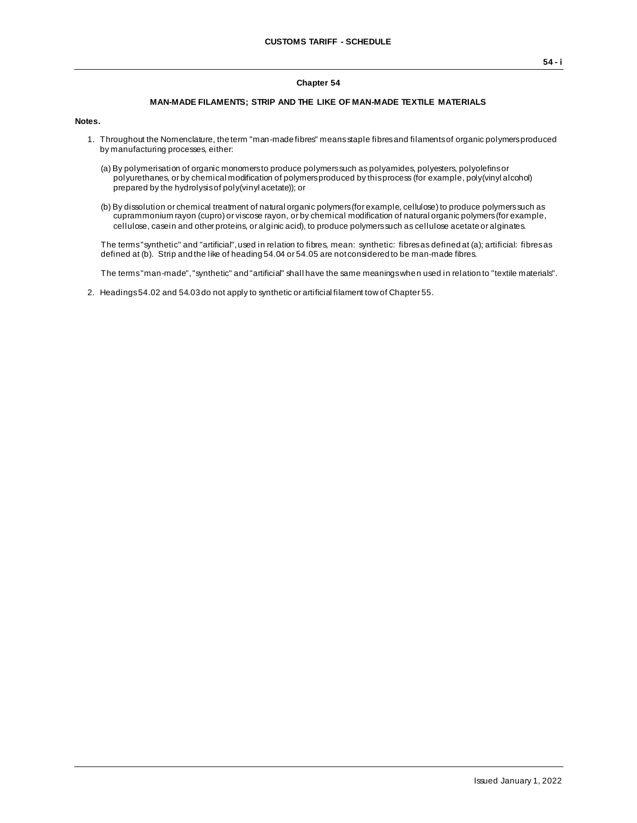## **Chapter 54**

## **MAN-MADE FILAMENTS; STRIP AND THE LIKE OF MAN-MADE TEXTILE MATERIALS**

## **Notes.**

- 1. Throughout the Nomenclature, the term "man-made fibres" means staple fibres and filaments of organic polymers produced by manufacturing processes, either:
	- (a) By polymerisation of organic monomers to produce polymers such as polyamides, polyesters, polyolefins or polyurethanes, or by chemical modification of polymers produced by this process (for example, poly(vinyl alcohol) prepared by the hydrolysis of poly(vinyl acetate)); or
	- (b) By dissolution or chemical treatment of natural organic polymers (for example, cellulose) to produce polymers such as cuprammonium rayon (cupro) or viscose rayon, or by chemical modification of natural organic polymers (for example, cellulose, casein and other proteins, or alginic acid), to produce polymers such as cellulose acetate or alginates.

The terms "synthetic" and "artificial", used in relation to fibres, mean: synthetic: fibres as defined at (a); artificial: fibres as defined at (b). Strip and the like of heading 54.04 or 54.05 are not considered to be man-made fibres.

The terms "man-made", "synthetic" and "artificial" shall have the same meanings when used in relation to "textile materials".

2. Headings 54.02 and 54.03 do not apply to synthetic or artificial filament tow of Chapter 55.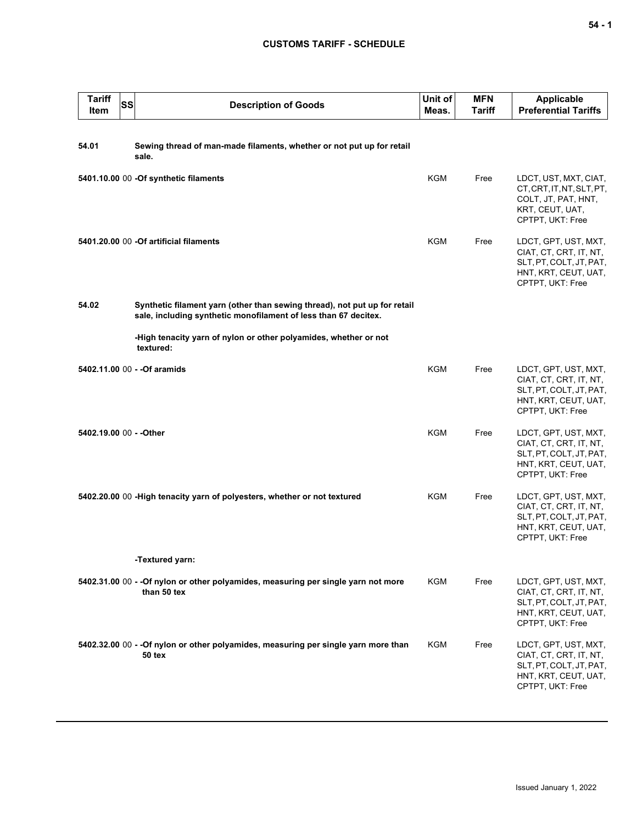## **CUSTOMS TARIFF - SCHEDULE**

| <b>Tariff</b><br>Item   | SS | <b>Description of Goods</b>                                                                                                                  | Unit of<br>Meas. | <b>MFN</b><br>Tariff | <b>Applicable</b><br><b>Preferential Tariffs</b>                                                                      |
|-------------------------|----|----------------------------------------------------------------------------------------------------------------------------------------------|------------------|----------------------|-----------------------------------------------------------------------------------------------------------------------|
| 54.01                   |    | Sewing thread of man-made filaments, whether or not put up for retail<br>sale.                                                               |                  |                      |                                                                                                                       |
|                         |    | 5401.10.00 00 -Of synthetic filaments                                                                                                        | <b>KGM</b>       | Free                 | LDCT, UST, MXT, CIAT,<br>CT, CRT, IT, NT, SLT, PT,<br>COLT, JT, PAT, HNT,<br>KRT, CEUT, UAT,<br>CPTPT, UKT: Free      |
|                         |    | 5401.20.00 00 -Of artificial filaments                                                                                                       | KGM              | Free                 | LDCT, GPT, UST, MXT,<br>CIAT, CT, CRT, IT, NT,<br>SLT, PT, COLT, JT, PAT,<br>HNT, KRT, CEUT, UAT,<br>CPTPT, UKT: Free |
| 54.02                   |    | Synthetic filament yarn (other than sewing thread), not put up for retail<br>sale, including synthetic monofilament of less than 67 decitex. |                  |                      |                                                                                                                       |
|                         |    | -High tenacity yarn of nylon or other polyamides, whether or not<br>textured:                                                                |                  |                      |                                                                                                                       |
|                         |    | 5402.11.00 00 - - Of aramids                                                                                                                 | KGM              | Free                 | LDCT, GPT, UST, MXT,<br>CIAT, CT, CRT, IT, NT,<br>SLT, PT, COLT, JT, PAT,<br>HNT, KRT, CEUT, UAT,<br>CPTPT, UKT: Free |
| 5402.19.00 00 - - Other |    |                                                                                                                                              | KGM              | Free                 | LDCT, GPT, UST, MXT,<br>CIAT, CT, CRT, IT, NT,<br>SLT, PT, COLT, JT, PAT,<br>HNT, KRT, CEUT, UAT,<br>CPTPT, UKT: Free |
|                         |    | 5402.20.00 00 - High tenacity yarn of polyesters, whether or not textured                                                                    | KGM              | Free                 | LDCT, GPT, UST, MXT,<br>CIAT, CT, CRT, IT, NT,<br>SLT, PT, COLT, JT, PAT,<br>HNT, KRT, CEUT, UAT,<br>CPTPT, UKT: Free |
|                         |    | -Textured yarn:                                                                                                                              |                  |                      |                                                                                                                       |
|                         |    | 5402.31.00 00 - - Of nylon or other polyamides, measuring per single yarn not more<br>than 50 tex                                            | KGM              | Free                 | LDCT, GPT, UST, MXT,<br>CIAT, CT, CRT, IT, NT,<br>SLT, PT, COLT, JT, PAT,<br>HNT, KRT, CEUT, UAT,<br>CPTPT, UKT: Free |
|                         |    | 5402.32.00 00 - - Of nylon or other polyamides, measuring per single yarn more than<br>50 tex                                                | KGM              | Free                 | LDCT, GPT, UST, MXT,<br>CIAT, CT, CRT, IT, NT,<br>SLT, PT, COLT, JT, PAT,<br>HNT, KRT, CEUT, UAT,<br>CPTPT, UKT: Free |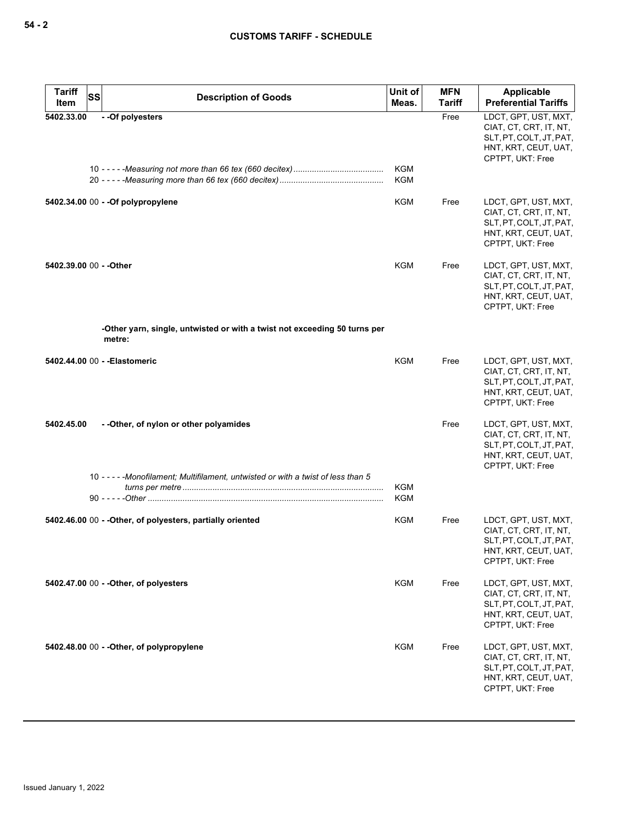| <b>Tariff</b><br>Item   | SS | <b>Description of Goods</b>                                                         | Unit of<br>Meas.         | <b>MFN</b><br>Tariff | Applicable<br><b>Preferential Tariffs</b>                                                                             |
|-------------------------|----|-------------------------------------------------------------------------------------|--------------------------|----------------------|-----------------------------------------------------------------------------------------------------------------------|
| 5402.33.00              |    | - - Of polyesters                                                                   |                          | Free                 | LDCT, GPT, UST, MXT,<br>CIAT, CT, CRT, IT, NT,<br>SLT, PT, COLT, JT, PAT,<br>HNT, KRT, CEUT, UAT,<br>CPTPT, UKT: Free |
|                         |    |                                                                                     | <b>KGM</b><br><b>KGM</b> |                      |                                                                                                                       |
|                         |    | 5402.34.00 00 - - Of polypropylene                                                  | KGM                      | Free                 | LDCT, GPT, UST, MXT,<br>CIAT, CT, CRT, IT, NT,<br>SLT, PT, COLT, JT, PAT,<br>HNT, KRT, CEUT, UAT,<br>CPTPT, UKT: Free |
| 5402.39.00 00 - - Other |    |                                                                                     | <b>KGM</b>               | Free                 | LDCT, GPT, UST, MXT,<br>CIAT, CT, CRT, IT, NT,<br>SLT, PT, COLT, JT, PAT,<br>HNT, KRT, CEUT, UAT,<br>CPTPT, UKT: Free |
|                         |    | -Other yarn, single, untwisted or with a twist not exceeding 50 turns per<br>metre: |                          |                      |                                                                                                                       |
|                         |    | 5402.44.00 00 - - Elastomeric                                                       | <b>KGM</b>               | Free                 | LDCT, GPT, UST, MXT,<br>CIAT, CT, CRT, IT, NT,<br>SLT, PT, COLT, JT, PAT,<br>HNT, KRT, CEUT, UAT,<br>CPTPT, UKT: Free |
| 5402.45.00              |    | --Other, of nylon or other polyamides                                               |                          | Free                 | LDCT, GPT, UST, MXT,<br>CIAT, CT, CRT, IT, NT,<br>SLT, PT, COLT, JT, PAT,<br>HNT, KRT, CEUT, UAT,<br>CPTPT, UKT: Free |
|                         |    | 10 - - - - - Monofilament; Multifilament, untwisted or with a twist of less than 5  | <b>KGM</b><br><b>KGM</b> |                      |                                                                                                                       |
|                         |    | 5402.46.00 00 - - Other, of polyesters, partially oriented                          | KGM                      | Free                 | LDCT, GPT, UST, MXT,<br>CIAT, CT, CRT, IT, NT,<br>SLT, PT, COLT, JT, PAT,<br>HNT, KRT, CEUT, UAT,<br>CPTPT, UKT: Free |
|                         |    | 5402.47.00 00 - - Other, of polyesters                                              | KGM                      | Free                 | LDCT, GPT, UST, MXT,<br>CIAT, CT, CRT, IT, NT,<br>SLT, PT, COLT, JT, PAT,<br>HNT, KRT, CEUT, UAT,<br>CPTPT, UKT: Free |
|                         |    | 5402.48.00 00 - - Other, of polypropylene                                           | KGM                      | Free                 | LDCT, GPT, UST, MXT,<br>CIAT, CT, CRT, IT, NT,<br>SLT, PT, COLT, JT, PAT,<br>HNT, KRT, CEUT, UAT,<br>CPTPT, UKT: Free |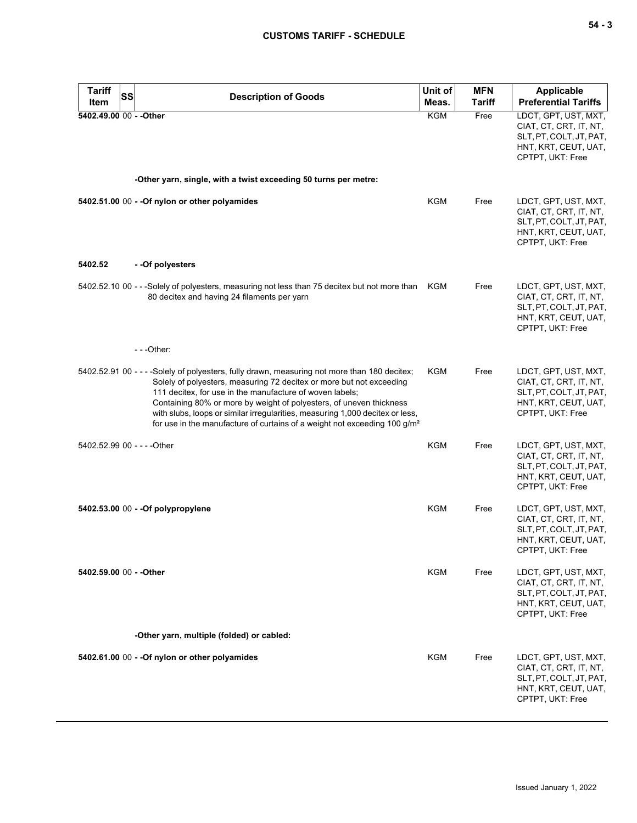| <b>Tariff</b><br>Item       | <b>SS</b> | <b>Description of Goods</b>                                                                                                                                                                                                                                                                                                                                                                                                                                              | Unit of<br>Meas. | <b>MFN</b><br>Tariff | <b>Applicable</b><br><b>Preferential Tariffs</b>                                                                      |
|-----------------------------|-----------|--------------------------------------------------------------------------------------------------------------------------------------------------------------------------------------------------------------------------------------------------------------------------------------------------------------------------------------------------------------------------------------------------------------------------------------------------------------------------|------------------|----------------------|-----------------------------------------------------------------------------------------------------------------------|
| 5402.49.00 00 - - Other     |           |                                                                                                                                                                                                                                                                                                                                                                                                                                                                          | <b>KGM</b>       | Free                 | LDCT, GPT, UST, MXT,<br>CIAT, CT, CRT, IT, NT,<br>SLT, PT, COLT, JT, PAT,<br>HNT, KRT, CEUT, UAT,<br>CPTPT, UKT: Free |
|                             |           | -Other yarn, single, with a twist exceeding 50 turns per metre:                                                                                                                                                                                                                                                                                                                                                                                                          |                  |                      |                                                                                                                       |
|                             |           | 5402.51.00 00 - - Of nylon or other polyamides                                                                                                                                                                                                                                                                                                                                                                                                                           | <b>KGM</b>       | Free                 | LDCT, GPT, UST, MXT,<br>CIAT, CT, CRT, IT, NT,<br>SLT, PT, COLT, JT, PAT,<br>HNT, KRT, CEUT, UAT,<br>CPTPT, UKT: Free |
| 5402.52                     |           | - -Of polyesters                                                                                                                                                                                                                                                                                                                                                                                                                                                         |                  |                      |                                                                                                                       |
|                             |           | 5402.52.10 00 - - -Solely of polyesters, measuring not less than 75 decitex but not more than<br>80 decitex and having 24 filaments per yarn                                                                                                                                                                                                                                                                                                                             | KGM              | Free                 | LDCT, GPT, UST, MXT,<br>CIAT, CT, CRT, IT, NT,<br>SLT, PT, COLT, JT, PAT,<br>HNT, KRT, CEUT, UAT,<br>CPTPT, UKT: Free |
|                             |           | $- -$ Other:                                                                                                                                                                                                                                                                                                                                                                                                                                                             |                  |                      |                                                                                                                       |
|                             |           | 5402.52.91 00 - - - - Solely of polyesters, fully drawn, measuring not more than 180 decitex;<br>Solely of polyesters, measuring 72 decitex or more but not exceeding<br>111 decitex, for use in the manufacture of woven labels;<br>Containing 80% or more by weight of polyesters, of uneven thickness<br>with slubs, loops or similar irregularities, measuring 1,000 decitex or less,<br>for use in the manufacture of curtains of a weight not exceeding $100 g/m2$ | KGM              | Free                 | LDCT, GPT, UST, MXT,<br>CIAT, CT, CRT, IT, NT,<br>SLT, PT, COLT, JT, PAT,<br>HNT, KRT, CEUT, UAT,<br>CPTPT, UKT: Free |
| 5402.52.99 00 - - - - Other |           |                                                                                                                                                                                                                                                                                                                                                                                                                                                                          | <b>KGM</b>       | Free                 | LDCT, GPT, UST, MXT,<br>CIAT, CT, CRT, IT, NT,<br>SLT, PT, COLT, JT, PAT,<br>HNT, KRT, CEUT, UAT,<br>CPTPT, UKT: Free |
|                             |           | 5402.53.00 00 - - Of polypropylene                                                                                                                                                                                                                                                                                                                                                                                                                                       | <b>KGM</b>       | Free                 | LDCT, GPT, UST, MXT,<br>CIAT, CT, CRT, IT, NT,<br>SLT, PT, COLT, JT, PAT,<br>HNT, KRT, CEUT, UAT,<br>CPTPT, UKT: Free |
| 5402.59.00 00 - - Other     |           |                                                                                                                                                                                                                                                                                                                                                                                                                                                                          | KGM              | Free                 | LDCT, GPT, UST, MXT,<br>CIAT, CT, CRT, IT, NT,<br>SLT, PT, COLT, JT, PAT,<br>HNT, KRT, CEUT, UAT,<br>CPTPT, UKT: Free |
|                             |           | -Other yarn, multiple (folded) or cabled:                                                                                                                                                                                                                                                                                                                                                                                                                                |                  |                      |                                                                                                                       |
|                             |           | 5402.61.00 00 - - Of nylon or other polyamides                                                                                                                                                                                                                                                                                                                                                                                                                           | <b>KGM</b>       | Free                 | LDCT, GPT, UST, MXT,<br>CIAT, CT, CRT, IT, NT,<br>SLT, PT, COLT, JT, PAT,<br>HNT, KRT, CEUT, UAT,<br>CPTPT, UKT: Free |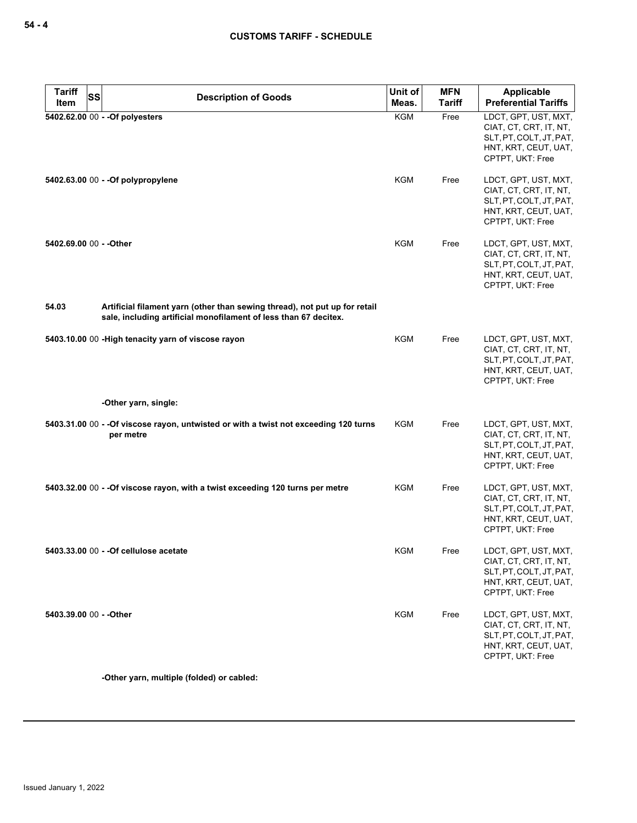| Tariff<br>Item          | SS<br><b>Description of Goods</b>                                                                                                              | Unit of<br>Meas. | <b>MFN</b><br>Tariff | Applicable<br><b>Preferential Tariffs</b>                                                                             |
|-------------------------|------------------------------------------------------------------------------------------------------------------------------------------------|------------------|----------------------|-----------------------------------------------------------------------------------------------------------------------|
|                         | 5402.62.00 00 - - Of polyesters                                                                                                                | <b>KGM</b>       | Free                 | LDCT, GPT, UST, MXT,<br>CIAT, CT, CRT, IT, NT,<br>SLT, PT, COLT, JT, PAT,<br>HNT, KRT, CEUT, UAT,<br>CPTPT, UKT: Free |
|                         | 5402.63.00 00 - - Of polypropylene                                                                                                             | KGM              | Free                 | LDCT, GPT, UST, MXT,<br>CIAT, CT, CRT, IT, NT,<br>SLT, PT, COLT, JT, PAT,<br>HNT, KRT, CEUT, UAT,<br>CPTPT, UKT: Free |
| 5402.69.00 00 - - Other |                                                                                                                                                | <b>KGM</b>       | Free                 | LDCT, GPT, UST, MXT,<br>CIAT, CT, CRT, IT, NT,<br>SLT, PT, COLT, JT, PAT,<br>HNT, KRT, CEUT, UAT,<br>CPTPT, UKT: Free |
| 54.03                   | Artificial filament yarn (other than sewing thread), not put up for retail<br>sale, including artificial monofilament of less than 67 decitex. |                  |                      |                                                                                                                       |
|                         | 5403.10.00 00 - High tenacity yarn of viscose rayon                                                                                            | KGM              | Free                 | LDCT, GPT, UST, MXT,<br>CIAT, CT, CRT, IT, NT,<br>SLT, PT, COLT, JT, PAT,<br>HNT, KRT, CEUT, UAT,<br>CPTPT, UKT: Free |
|                         | -Other yarn, single:                                                                                                                           |                  |                      |                                                                                                                       |
|                         | 5403.31.00 00 - - Of viscose rayon, untwisted or with a twist not exceeding 120 turns<br>per metre                                             | KGM              | Free                 | LDCT, GPT, UST, MXT,<br>CIAT, CT, CRT, IT, NT,<br>SLT, PT, COLT, JT, PAT,<br>HNT, KRT, CEUT, UAT,<br>CPTPT, UKT: Free |
|                         | 5403.32.00 00 - - Of viscose rayon, with a twist exceeding 120 turns per metre                                                                 | KGM              | Free                 | LDCT, GPT, UST, MXT,<br>CIAT, CT, CRT, IT, NT,<br>SLT, PT, COLT, JT, PAT,<br>HNT, KRT, CEUT, UAT,<br>CPTPT, UKT: Free |
|                         | 5403.33.00 00 - - Of cellulose acetate                                                                                                         | KGM              | Free                 | LDCT, GPT, UST, MXT,<br>CIAT, CT, CRT, IT, NT,<br>SLT, PT, COLT, JT, PAT,<br>HNT, KRT, CEUT, UAT,<br>CPTPT, UKT: Free |
| 5403.39.00 00 - - Other |                                                                                                                                                | <b>KGM</b>       | Free                 | LDCT, GPT, UST, MXT,<br>CIAT, CT, CRT, IT, NT,<br>SLT, PT, COLT, JT, PAT,<br>HNT, KRT, CEUT, UAT,<br>CPTPT, UKT: Free |

**-Other yarn, multiple (folded) or cabled:**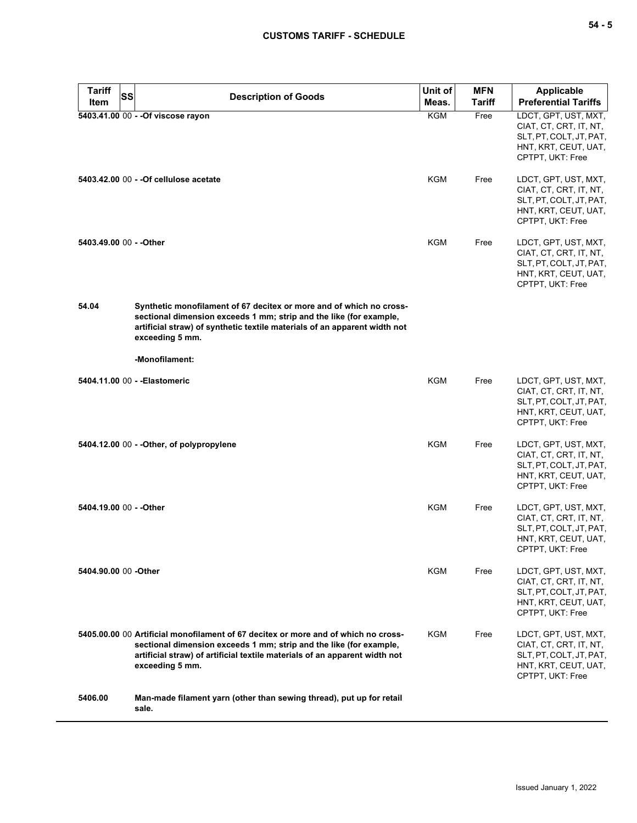| <b>Tariff</b>           | <b>SS</b> | <b>Description of Goods</b>                                                                                                                                                                                                                               | Unit of    | <b>MFN</b> | <b>Applicable</b>                                                                                                     |
|-------------------------|-----------|-----------------------------------------------------------------------------------------------------------------------------------------------------------------------------------------------------------------------------------------------------------|------------|------------|-----------------------------------------------------------------------------------------------------------------------|
| Item                    |           |                                                                                                                                                                                                                                                           | Meas.      | Tariff     | <b>Preferential Tariffs</b>                                                                                           |
|                         |           | 5403.41.00 00 - - Of viscose rayon                                                                                                                                                                                                                        | <b>KGM</b> | Free       | LDCT, GPT, UST, MXT,<br>CIAT, CT, CRT, IT, NT,<br>SLT, PT, COLT, JT, PAT,<br>HNT, KRT, CEUT, UAT,<br>CPTPT, UKT: Free |
|                         |           | 5403.42.00 00 - - Of cellulose acetate                                                                                                                                                                                                                    | KGM        | Free       | LDCT, GPT, UST, MXT,<br>CIAT, CT, CRT, IT, NT,<br>SLT, PT, COLT, JT, PAT,<br>HNT, KRT, CEUT, UAT,<br>CPTPT, UKT: Free |
| 5403.49.00 00 - - Other |           |                                                                                                                                                                                                                                                           | <b>KGM</b> | Free       | LDCT, GPT, UST, MXT,<br>CIAT, CT, CRT, IT, NT,<br>SLT, PT, COLT, JT, PAT,<br>HNT, KRT, CEUT, UAT,<br>CPTPT, UKT: Free |
| 54.04                   |           | Synthetic monofilament of 67 decitex or more and of which no cross-<br>sectional dimension exceeds 1 mm; strip and the like (for example,<br>artificial straw) of synthetic textile materials of an apparent width not<br>exceeding 5 mm.                 |            |            |                                                                                                                       |
|                         |           | -Monofilament:                                                                                                                                                                                                                                            |            |            |                                                                                                                       |
|                         |           | 5404.11.00 00 - - Elastomeric                                                                                                                                                                                                                             | KGM        | Free       | LDCT, GPT, UST, MXT,<br>CIAT, CT, CRT, IT, NT,<br>SLT, PT, COLT, JT, PAT,<br>HNT, KRT, CEUT, UAT,<br>CPTPT, UKT: Free |
|                         |           | 5404.12.00 00 - - Other, of polypropylene                                                                                                                                                                                                                 | KGM        | Free       | LDCT, GPT, UST, MXT,<br>CIAT, CT, CRT, IT, NT,<br>SLT, PT, COLT, JT, PAT,<br>HNT, KRT, CEUT, UAT,<br>CPTPT, UKT: Free |
| 5404.19.00 00 - - Other |           |                                                                                                                                                                                                                                                           | <b>KGM</b> | Free       | LDCT, GPT, UST, MXT,<br>CIAT, CT, CRT, IT, NT,<br>SLT, PT, COLT, JT, PAT,<br>HNT, KRT, CEUT, UAT,<br>CPTPT, UKT: Free |
| 5404.90.00 00 - Other   |           |                                                                                                                                                                                                                                                           | KGM        | Free       | LDCT, GPT, UST, MXT,<br>CIAT, CT, CRT, IT, NT,<br>SLT, PT, COLT, JT, PAT,<br>HNT, KRT, CEUT, UAT,<br>CPTPT, UKT: Free |
|                         |           | 5405,00,00 00 Artificial monofilament of 67 decitex or more and of which no cross-<br>sectional dimension exceeds 1 mm; strip and the like (for example,<br>artificial straw) of artificial textile materials of an apparent width not<br>exceeding 5 mm. | <b>KGM</b> | Free       | LDCT, GPT, UST, MXT,<br>CIAT, CT, CRT, IT, NT,<br>SLT, PT, COLT, JT, PAT,<br>HNT, KRT, CEUT, UAT,<br>CPTPT, UKT: Free |
| 5406.00                 |           | Man-made filament yarn (other than sewing thread), put up for retail<br>sale.                                                                                                                                                                             |            |            |                                                                                                                       |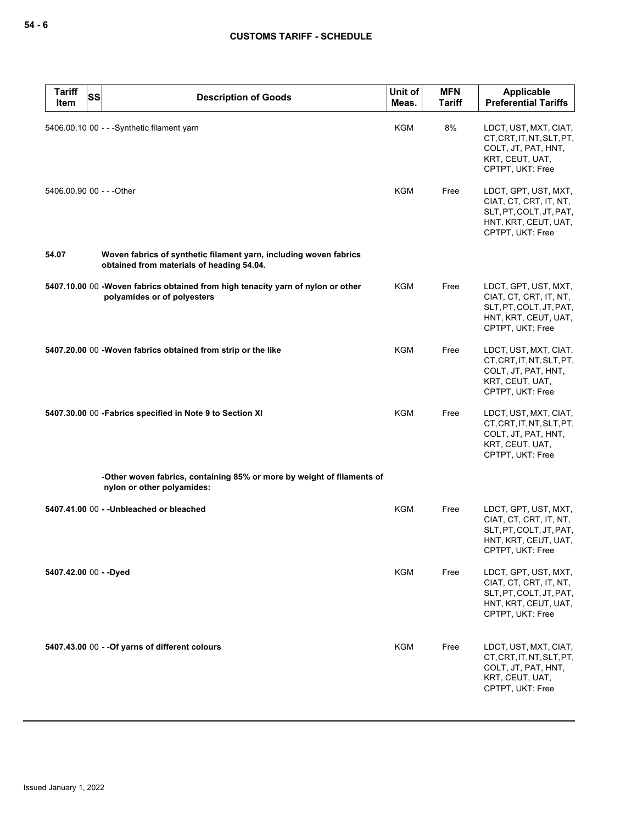| <b>Tariff</b><br>Item  | <b>SS</b> | <b>Description of Goods</b>                                                                                    | Unit of<br>Meas. | <b>MFN</b><br><b>Tariff</b> | <b>Applicable</b><br><b>Preferential Tariffs</b>                                                                      |
|------------------------|-----------|----------------------------------------------------------------------------------------------------------------|------------------|-----------------------------|-----------------------------------------------------------------------------------------------------------------------|
|                        |           | 5406.00.10 00 - - -Synthetic filament yarn                                                                     | <b>KGM</b>       | 8%                          | LDCT, UST, MXT, CIAT,<br>CT, CRT, IT, NT, SLT, PT,<br>COLT, JT, PAT, HNT,<br>KRT, CEUT, UAT,<br>CPTPT, UKT: Free      |
|                        |           | 5406.00.90 00 - - - Other                                                                                      | KGM              | Free                        | LDCT, GPT, UST, MXT,<br>CIAT, CT, CRT, IT, NT,<br>SLT, PT, COLT, JT, PAT,<br>HNT, KRT, CEUT, UAT,<br>CPTPT, UKT: Free |
| 54.07                  |           | Woven fabrics of synthetic filament yarn, including woven fabrics<br>obtained from materials of heading 54.04. |                  |                             |                                                                                                                       |
|                        |           | 5407.10.00 00 -Woven fabrics obtained from high tenacity yarn of nylon or other<br>polyamides or of polyesters | KGM              | Free                        | LDCT, GPT, UST, MXT,<br>CIAT, CT, CRT, IT, NT,<br>SLT, PT, COLT, JT, PAT,<br>HNT, KRT, CEUT, UAT,<br>CPTPT, UKT: Free |
|                        |           | 5407.20.00 00 -Woven fabrics obtained from strip or the like                                                   | <b>KGM</b>       | Free                        | LDCT, UST, MXT, CIAT,<br>CT, CRT, IT, NT, SLT, PT,<br>COLT, JT, PAT, HNT,<br>KRT, CEUT, UAT,<br>CPTPT, UKT: Free      |
|                        |           | 5407.30.00 00 - Fabrics specified in Note 9 to Section XI                                                      | <b>KGM</b>       | Free                        | LDCT, UST, MXT, CIAT,<br>CT, CRT, IT, NT, SLT, PT,<br>COLT, JT, PAT, HNT,<br>KRT, CEUT, UAT,<br>CPTPT, UKT: Free      |
|                        |           | -Other woven fabrics, containing 85% or more by weight of filaments of<br>nylon or other polyamides:           |                  |                             |                                                                                                                       |
|                        |           | 5407.41.00 00 - - Unbleached or bleached                                                                       | <b>KGM</b>       | Free                        | LDCT, GPT, UST, MXT,<br>CIAT, CT, CRT, IT, NT,<br>SLT, PT, COLT, JT, PAT,<br>HNT, KRT, CEUT, UAT,<br>CPTPT, UKT: Free |
| 5407.42.00 00 - - Dyed |           |                                                                                                                | KGM              | Free                        | LDCT, GPT, UST, MXT,<br>CIAT, CT, CRT, IT, NT,<br>SLT, PT, COLT, JT, PAT,<br>HNT, KRT, CEUT, UAT,<br>CPTPT, UKT: Free |
|                        |           | 5407.43.00 00 - - Of yarns of different colours                                                                | <b>KGM</b>       | Free                        | LDCT, UST, MXT, CIAT,<br>CT, CRT, IT, NT, SLT, PT,<br>COLT, JT, PAT, HNT,<br>KRT, CEUT, UAT,<br>CPTPT, UKT: Free      |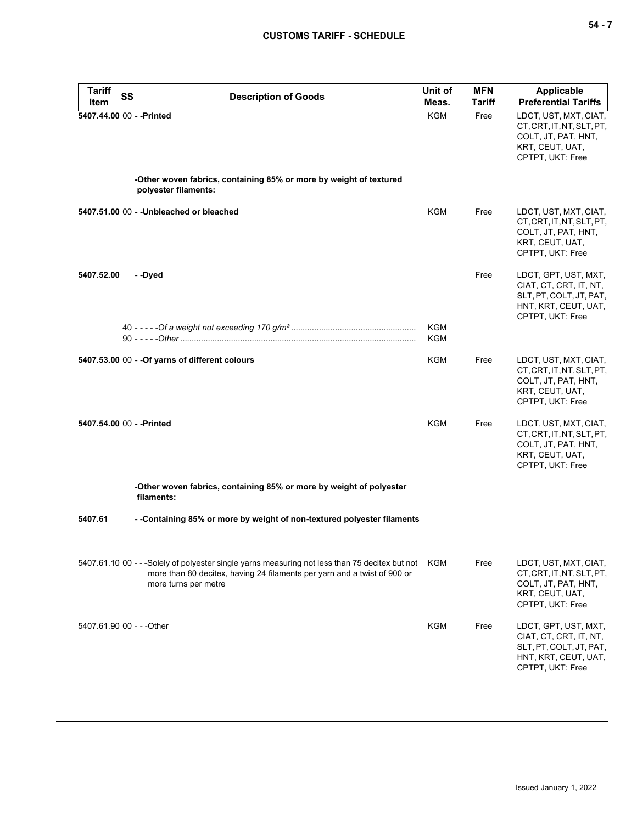| <b>Tariff</b>             | <b>SS</b> | <b>Description of Goods</b>                                                                                                                                                                            | Unit of           | <b>MFN</b>    | <b>Applicable</b>                                                                                                     |
|---------------------------|-----------|--------------------------------------------------------------------------------------------------------------------------------------------------------------------------------------------------------|-------------------|---------------|-----------------------------------------------------------------------------------------------------------------------|
| Item                      |           |                                                                                                                                                                                                        | Meas.             | <b>Tariff</b> | <b>Preferential Tariffs</b>                                                                                           |
| 5407.44.00 00 - - Printed |           |                                                                                                                                                                                                        | KGM               | Free          | LDCT, UST, MXT, CIAT,<br>CT, CRT, IT, NT, SLT, PT,<br>COLT, JT, PAT, HNT,<br>KRT, CEUT, UAT,<br>CPTPT, UKT: Free      |
|                           |           | -Other woven fabrics, containing 85% or more by weight of textured<br>polyester filaments:                                                                                                             |                   |               |                                                                                                                       |
|                           |           | 5407.51.00 00 - - Unbleached or bleached                                                                                                                                                               | <b>KGM</b>        | Free          | LDCT, UST, MXT, CIAT,<br>CT, CRT, IT, NT, SLT, PT,<br>COLT, JT, PAT, HNT,<br>KRT, CEUT, UAT,<br>CPTPT, UKT: Free      |
| 5407.52.00                |           | - -Dyed                                                                                                                                                                                                |                   | Free          | LDCT, GPT, UST, MXT,<br>CIAT, CT, CRT, IT, NT,<br>SLT, PT, COLT, JT, PAT,<br>HNT, KRT, CEUT, UAT,<br>CPTPT, UKT: Free |
|                           |           |                                                                                                                                                                                                        | <b>KGM</b><br>KGM |               |                                                                                                                       |
|                           |           | 5407.53.00 00 - - Of yarns of different colours                                                                                                                                                        | KGM               | Free          | LDCT, UST, MXT, CIAT,<br>CT, CRT, IT, NT, SLT, PT,<br>COLT, JT, PAT, HNT,<br>KRT, CEUT, UAT,<br>CPTPT, UKT: Free      |
| 5407.54.00 00 - - Printed |           |                                                                                                                                                                                                        | <b>KGM</b>        | Free          | LDCT, UST, MXT, CIAT,<br>CT, CRT, IT, NT, SLT, PT,<br>COLT, JT, PAT, HNT,<br>KRT, CEUT, UAT,<br>CPTPT, UKT: Free      |
|                           |           | -Other woven fabrics, containing 85% or more by weight of polyester<br>filaments:                                                                                                                      |                   |               |                                                                                                                       |
| 5407.61                   |           | --Containing 85% or more by weight of non-textured polyester filaments                                                                                                                                 |                   |               |                                                                                                                       |
|                           |           | 5407.61.10 00 - - -Solely of polyester single yarns measuring not less than 75 decitex but not KGM<br>more than 80 decitex, having 24 filaments per yarn and a twist of 900 or<br>more turns per metre |                   | Free          | LDCT, UST, MXT, CIAT,<br>CT, CRT, IT, NT, SLT, PT,<br>COLT, JT, PAT, HNT,<br>KRT, CEUT, UAT,<br>CPTPT, UKT: Free      |
| 5407.61.90 00 - - - Other |           |                                                                                                                                                                                                        | <b>KGM</b>        | Free          | LDCT, GPT, UST, MXT,<br>CIAT, CT, CRT, IT, NT,<br>SLT, PT, COLT, JT, PAT,<br>HNT, KRT, CEUT, UAT,<br>CPTPT, UKT: Free |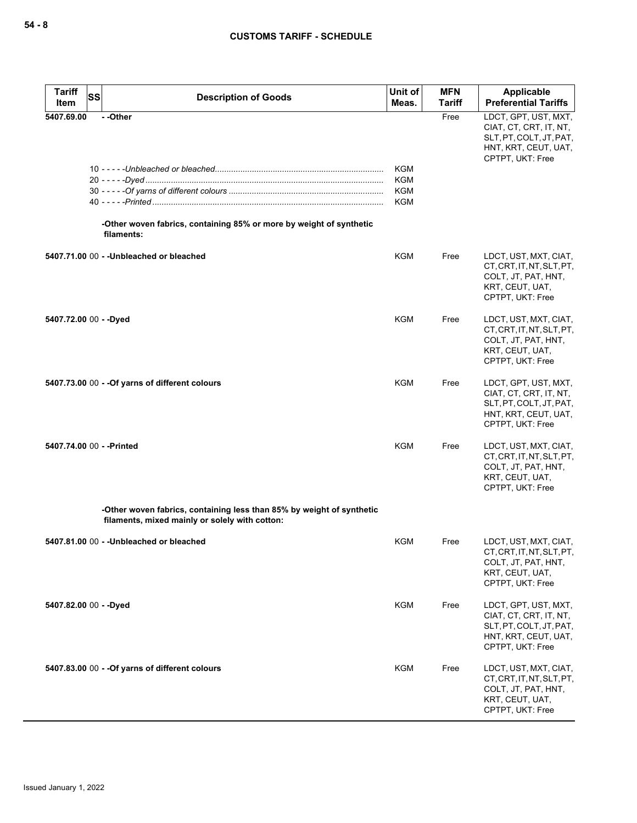| <b>Tariff</b><br>Item  | SS<br><b>Description of Goods</b>                                                                                       | Unit of<br>Meas.                                     | <b>MFN</b><br>Tariff | <b>Applicable</b><br><b>Preferential Tariffs</b>                                                                      |
|------------------------|-------------------------------------------------------------------------------------------------------------------------|------------------------------------------------------|----------------------|-----------------------------------------------------------------------------------------------------------------------|
| 5407.69.00             | --Other<br>-Other woven fabrics, containing 85% or more by weight of synthetic<br>filaments:                            | <b>KGM</b><br><b>KGM</b><br><b>KGM</b><br><b>KGM</b> | Free                 | LDCT, GPT, UST, MXT,<br>CIAT, CT, CRT, IT, NT,<br>SLT, PT, COLT, JT, PAT,<br>HNT, KRT, CEUT, UAT,<br>CPTPT, UKT: Free |
|                        | 5407.71.00 00 - - Unbleached or bleached                                                                                | KGM                                                  | Free                 | LDCT, UST, MXT, CIAT,<br>CT, CRT, IT, NT, SLT, PT,<br>COLT, JT, PAT, HNT,<br>KRT, CEUT, UAT,<br>CPTPT, UKT: Free      |
| 5407.72.00 00 - - Dyed |                                                                                                                         | <b>KGM</b>                                           | Free                 | LDCT, UST, MXT, CIAT,<br>CT, CRT, IT, NT, SLT, PT,<br>COLT, JT, PAT, HNT,<br>KRT, CEUT, UAT,<br>CPTPT, UKT: Free      |
|                        | 5407.73.00 00 - - Of yarns of different colours                                                                         | <b>KGM</b>                                           | Free                 | LDCT, GPT, UST, MXT,<br>CIAT, CT, CRT, IT, NT,<br>SLT, PT, COLT, JT, PAT,<br>HNT, KRT, CEUT, UAT,<br>CPTPT, UKT: Free |
|                        | 5407.74.00 00 - - Printed                                                                                               | <b>KGM</b>                                           | Free                 | LDCT, UST, MXT, CIAT,<br>CT, CRT, IT, NT, SLT, PT,<br>COLT, JT, PAT, HNT,<br>KRT, CEUT, UAT,<br>CPTPT, UKT: Free      |
|                        | -Other woven fabrics, containing less than 85% by weight of synthetic<br>filaments, mixed mainly or solely with cotton: |                                                      |                      |                                                                                                                       |
|                        | 5407.81.00 00 - - Unbleached or bleached                                                                                | KGM                                                  | Free                 | LDCT, UST, MXT, CIAT,<br>CT, CRT, IT, NT, SLT, PT,<br>COLT, JT, PAT, HNT,<br>KRT, CEUT, UAT,<br>CPTPT, UKT: Free      |
| 5407.82.00 00 - - Dyed |                                                                                                                         | <b>KGM</b>                                           | Free                 | LDCT, GPT, UST, MXT,<br>CIAT, CT, CRT, IT, NT,<br>SLT, PT, COLT, JT, PAT,<br>HNT, KRT, CEUT, UAT,<br>CPTPT, UKT: Free |
|                        | 5407.83.00 00 - - Of yarns of different colours                                                                         | KGM                                                  | Free                 | LDCT, UST, MXT, CIAT,<br>CT, CRT, IT, NT, SLT, PT,<br>COLT, JT, PAT, HNT,<br>KRT, CEUT, UAT,<br>CPTPT, UKT: Free      |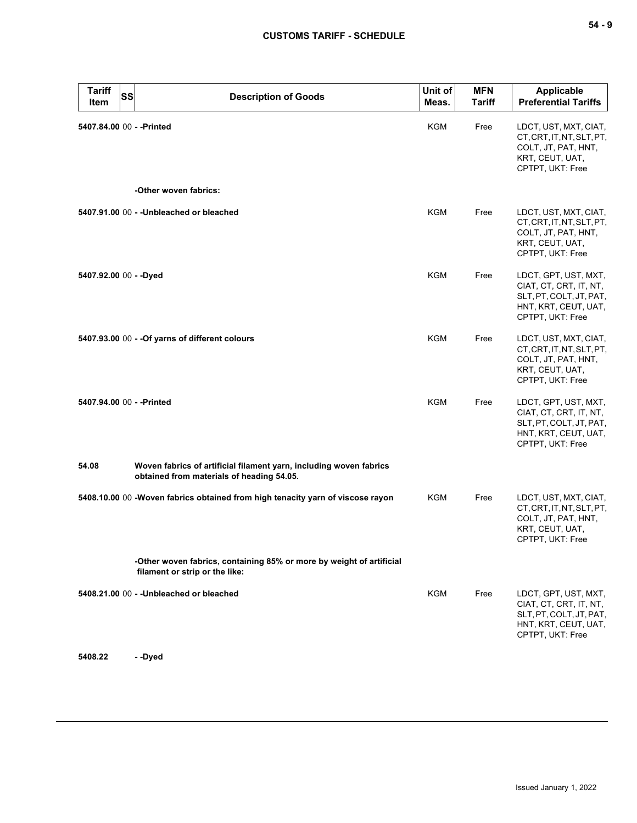| <b>Tariff</b><br>Item     | <b>SS</b> | <b>Description of Goods</b>                                                                                     | Unit of<br>Meas. | <b>MFN</b><br><b>Tariff</b> | Applicable<br><b>Preferential Tariffs</b>                                                                             |
|---------------------------|-----------|-----------------------------------------------------------------------------------------------------------------|------------------|-----------------------------|-----------------------------------------------------------------------------------------------------------------------|
| 5407.84.00 00 - - Printed |           |                                                                                                                 | <b>KGM</b>       | Free                        | LDCT, UST, MXT, CIAT,<br>CT, CRT, IT, NT, SLT, PT,<br>COLT, JT, PAT, HNT,<br>KRT, CEUT, UAT,<br>CPTPT, UKT: Free      |
|                           |           | -Other woven fabrics:                                                                                           |                  |                             |                                                                                                                       |
|                           |           | 5407.91.00 00 - - Unbleached or bleached                                                                        | KGM              | Free                        | LDCT, UST, MXT, CIAT,<br>CT, CRT, IT, NT, SLT, PT,<br>COLT, JT, PAT, HNT,<br>KRT, CEUT, UAT,<br>CPTPT, UKT: Free      |
| 5407.92.00 00 - - Dyed    |           |                                                                                                                 | KGM              | Free                        | LDCT, GPT, UST, MXT,<br>CIAT, CT, CRT, IT, NT,<br>SLT, PT, COLT, JT, PAT,<br>HNT, KRT, CEUT, UAT,<br>CPTPT, UKT: Free |
|                           |           | 5407.93.00 00 - - Of yarns of different colours                                                                 | <b>KGM</b>       | Free                        | LDCT, UST, MXT, CIAT,<br>CT, CRT, IT, NT, SLT, PT,<br>COLT, JT, PAT, HNT,<br>KRT, CEUT, UAT,<br>CPTPT, UKT: Free      |
| 5407.94.00 00 - - Printed |           |                                                                                                                 | <b>KGM</b>       | Free                        | LDCT, GPT, UST, MXT,<br>CIAT, CT, CRT, IT, NT,<br>SLT, PT, COLT, JT, PAT,<br>HNT, KRT, CEUT, UAT,<br>CPTPT, UKT: Free |
| 54.08                     |           | Woven fabrics of artificial filament yarn, including woven fabrics<br>obtained from materials of heading 54.05. |                  |                             |                                                                                                                       |
|                           |           | 5408.10.00 00 -Woven fabrics obtained from high tenacity yarn of viscose rayon                                  | KGM              | Free                        | LDCT, UST, MXT, CIAT,<br>CT, CRT, IT, NT, SLT, PT,<br>COLT, JT, PAT, HNT,<br>KRT, CEUT, UAT,<br>CPTPT, UKT: Free      |
|                           |           | -Other woven fabrics, containing 85% or more by weight of artificial<br>filament or strip or the like:          |                  |                             |                                                                                                                       |
|                           |           | 5408.21.00 00 - - Unbleached or bleached                                                                        | KGM              | Free                        | LDCT, GPT, UST, MXT,<br>CIAT, CT, CRT, IT, NT,<br>SLT, PT, COLT, JT, PAT,<br>HNT, KRT, CEUT, UAT,<br>CPTPT, UKT: Free |

**5408.22 - -Dyed**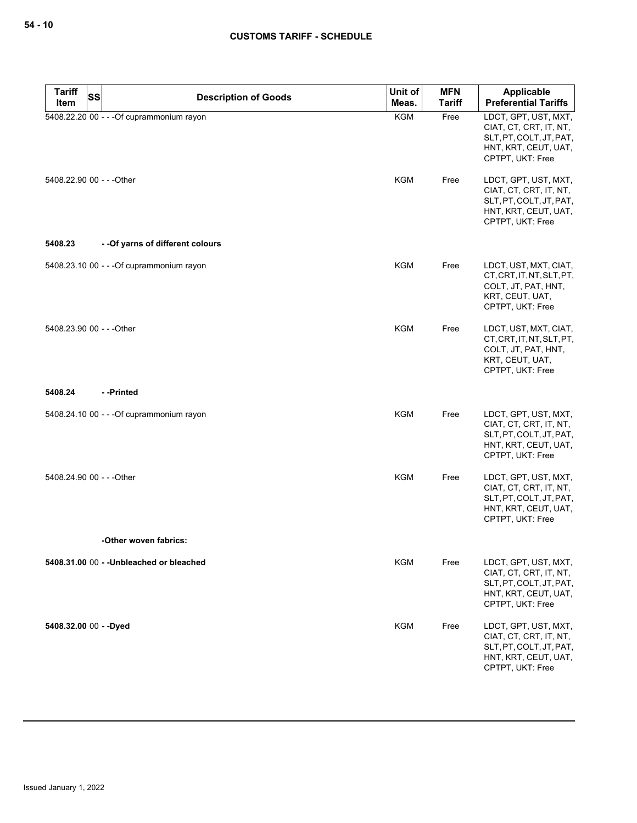| <b>Tariff</b>             | SS | <b>Description of Goods</b>               | Unit of    | <b>MFN</b>    | <b>Applicable</b>                                                                                                     |
|---------------------------|----|-------------------------------------------|------------|---------------|-----------------------------------------------------------------------------------------------------------------------|
| Item                      |    |                                           | Meas.      | <b>Tariff</b> | <b>Preferential Tariffs</b>                                                                                           |
|                           |    | 5408.22.20 00 - - - Of cuprammonium rayon | <b>KGM</b> | Free          | LDCT, GPT, UST, MXT,<br>CIAT, CT, CRT, IT, NT,<br>SLT, PT, COLT, JT, PAT,<br>HNT, KRT, CEUT, UAT,<br>CPTPT, UKT: Free |
| 5408.22.90 00 - - - Other |    |                                           | KGM        | Free          | LDCT, GPT, UST, MXT,<br>CIAT, CT, CRT, IT, NT,<br>SLT, PT, COLT, JT, PAT,<br>HNT, KRT, CEUT, UAT,<br>CPTPT, UKT: Free |
| 5408.23                   |    | - - Of yarns of different colours         |            |               |                                                                                                                       |
|                           |    | 5408.23.10 00 - - - Of cuprammonium rayon | KGM        | Free          | LDCT, UST, MXT, CIAT,<br>CT, CRT, IT, NT, SLT, PT,<br>COLT, JT, PAT, HNT,<br>KRT, CEUT, UAT,<br>CPTPT, UKT: Free      |
| 5408.23.90 00 - - - Other |    |                                           | KGM        | Free          | LDCT, UST, MXT, CIAT,<br>CT, CRT, IT, NT, SLT, PT,<br>COLT, JT, PAT, HNT,<br>KRT, CEUT, UAT,<br>CPTPT, UKT: Free      |
| 5408.24                   |    | - -Printed                                |            |               |                                                                                                                       |
|                           |    | 5408.24.10 00 - - - Of cuprammonium rayon | KGM        | Free          | LDCT, GPT, UST, MXT,<br>CIAT, CT, CRT, IT, NT,<br>SLT, PT, COLT, JT, PAT,<br>HNT, KRT, CEUT, UAT,<br>CPTPT, UKT: Free |
| 5408.24.90 00 - - - Other |    |                                           | KGM        | Free          | LDCT, GPT, UST, MXT,<br>CIAT, CT, CRT, IT, NT,<br>SLT, PT, COLT, JT, PAT,<br>HNT, KRT, CEUT, UAT,<br>CPTPT, UKT: Free |
|                           |    | -Other woven fabrics:                     |            |               |                                                                                                                       |
|                           |    | 5408.31.00 00 - - Unbleached or bleached  | <b>KGM</b> | Free          | LDCT, GPT, UST, MXT,<br>CIAT, CT, CRT, IT, NT,<br>SLT, PT, COLT, JT, PAT,<br>HNT, KRT, CEUT, UAT,<br>CPTPT, UKT: Free |
| 5408.32.00 00 - - Dyed    |    |                                           | <b>KGM</b> | Free          | LDCT, GPT, UST, MXT,<br>CIAT, CT, CRT, IT, NT,<br>SLT, PT, COLT, JT, PAT,<br>HNT, KRT, CEUT, UAT,<br>CPTPT, UKT: Free |